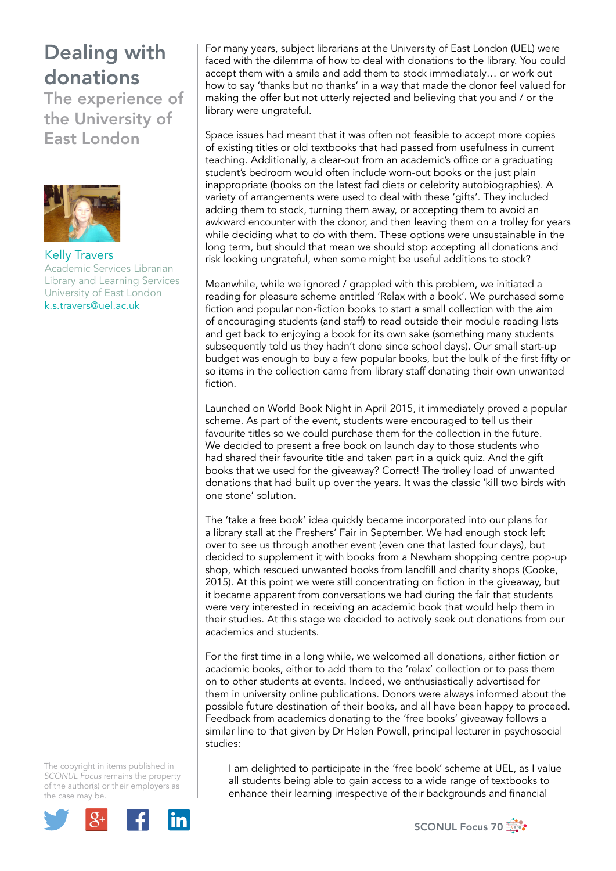## Dealing with donations

The experience of the University of East London



Kelly Travers Academic Services Librarian Library and Learning Services University of East London k.s.travers@uel.ac.uk

The copyright in items published in *SCONUL Focus* remains the property of the author(s) or their employers as the case may be.



For many years, subject librarians at the University of East London (UEL) were faced with the dilemma of how to deal with donations to the library. You could accept them with a smile and add them to stock immediately… or work out how to say 'thanks but no thanks' in a way that made the donor feel valued for making the offer but not utterly rejected and believing that you and / or the library were ungrateful.

Space issues had meant that it was often not feasible to accept more copies of existing titles or old textbooks that had passed from usefulness in current teaching. Additionally, a clear-out from an academic's office or a graduating student's bedroom would often include worn-out books or the just plain inappropriate (books on the latest fad diets or celebrity autobiographies). A variety of arrangements were used to deal with these 'gifts'. They included adding them to stock, turning them away, or accepting them to avoid an awkward encounter with the donor, and then leaving them on a trolley for years while deciding what to do with them. These options were unsustainable in the long term, but should that mean we should stop accepting all donations and risk looking ungrateful, when some might be useful additions to stock?

Meanwhile, while we ignored / grappled with this problem, we initiated a reading for pleasure scheme entitled 'Relax with a book'. We purchased some fiction and popular non-fiction books to start a small collection with the aim of encouraging students (and staff) to read outside their module reading lists and get back to enjoying a book for its own sake (something many students subsequently told us they hadn't done since school days). Our small start-up budget was enough to buy a few popular books, but the bulk of the first fifty or so items in the collection came from library staff donating their own unwanted fiction.

Launched on World Book Night in April 2015, it immediately proved a popular scheme. As part of the event, students were encouraged to tell us their favourite titles so we could purchase them for the collection in the future. We decided to present a free book on launch day to those students who had shared their favourite title and taken part in a quick quiz. And the gift books that we used for the giveaway? Correct! The trolley load of unwanted donations that had built up over the years. It was the classic 'kill two birds with one stone' solution.

The 'take a free book' idea quickly became incorporated into our plans for a library stall at the Freshers' Fair in September. We had enough stock left over to see us through another event (even one that lasted four days), but decided to supplement it with books from a Newham shopping centre pop-up shop, which rescued unwanted books from landfill and charity shops (Cooke, 2015). At this point we were still concentrating on fiction in the giveaway, but it became apparent from conversations we had during the fair that students were very interested in receiving an academic book that would help them in their studies. At this stage we decided to actively seek out donations from our academics and students.

For the first time in a long while, we welcomed all donations, either fiction or academic books, either to add them to the 'relax' collection or to pass them on to other students at events. Indeed, we enthusiastically advertised for them in university online publications. Donors were always informed about the possible future destination of their books, and all have been happy to proceed. Feedback from academics donating to the 'free books' giveaway follows a similar line to that given by Dr Helen Powell, principal lecturer in psychosocial studies:

I am delighted to participate in the 'free book' scheme at UEL, as I value all students being able to gain access to a wide range of textbooks to enhance their learning irrespective of their backgrounds and financial

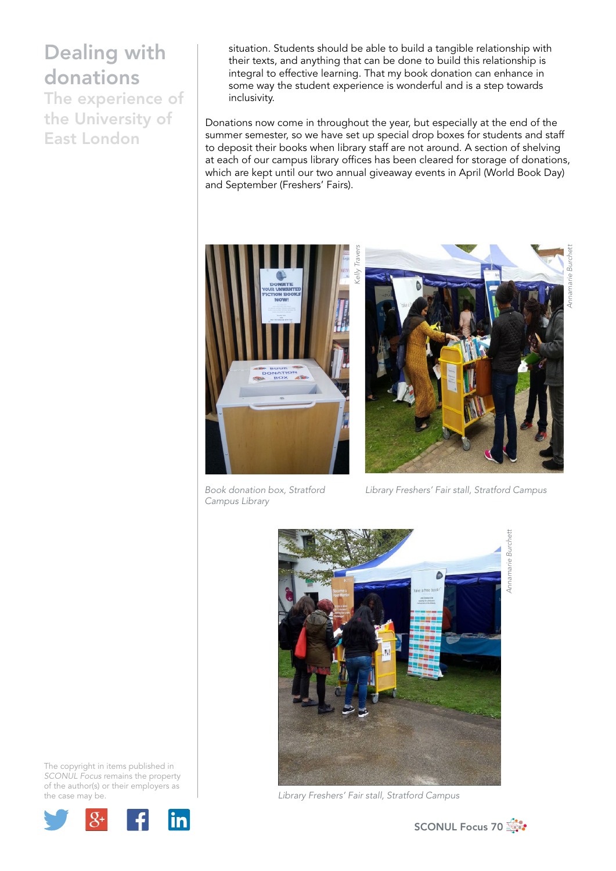## Dealing with donations

The experience of the University of East London

situation. Students should be able to build a tangible relationship with their texts, and anything that can be done to build this relationship is integral to effective learning. That my book donation can enhance in some way the student experience is wonderful and is a step towards inclusivity.

Donations now come in throughout the year, but especially at the end of the summer semester, so we have set up special drop boxes for students and staff to deposit their books when library staff are not around. A section of shelving at each of our campus library offices has been cleared for storage of donations, which are kept until our two annual giveaway events in April (World Book Day) and September (Freshers' Fairs).



*Book donation box, Stratford Campus Library*



*Library Freshers' Fair stall, Stratford Campus*



*Library Freshers' Fair stall, Stratford Campus*

The copyright in items published in *SCONUL Focus* remains the property of the author(s) or their employers as the case may be.